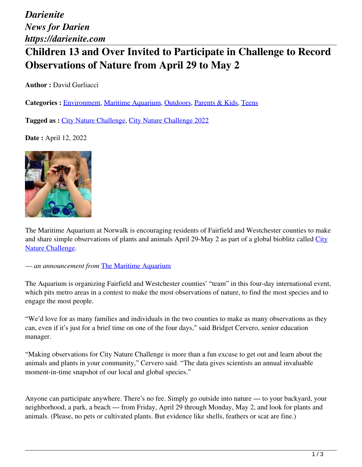*Darienite News for Darien https://darienite.com*

# **Children 13 and Over Invited to Participate in Challenge to Record Observations of Nature from April 29 to May 2**

**Author :** David Gurliacci

**Categories :** [Environment,](https://darienite.com/category/environment) Maritime Aquarium, Outdoors, Parents & Kids, Teens

**Tagged as :** City Nature Challenge, City Nature Challenge 2022

**Date :** April 12, 2022



The Maritime Aquarium at Norwalk is encouraging residents of Fairfield and Westchester counties to make and share simple observations of plants and animals April 29-May 2 as part of a global bioblitz called City Nature Challenge.

*— an announcement from* The Maritime Aquarium

The Aquarium is organizing Fairfield and Westchester counties' "team" in this four-day international event, which pits metro areas in a contest to make the most observations of nature, to find the most species and to engage the most people.

"We'd love for as many families and individuals in the two counties to make as many observations as they can, even if it's just for a brief time on one of the four days," said Bridget Cervero, senior education manager.

"Making observations for City Nature Challenge is more than a fun excuse to get out and learn about the animals and plants in your community," Cervero said. "The data gives scientists an annual invaluable moment-in-time snapshot of our local and global species."

Anyone can participate anywhere. There's no fee. Simply go outside into nature — to your backyard, your neighborhood, a park, a beach — from Friday, April 29 through Monday, May 2, and look for plants and animals. (Please, no pets or cultivated plants. But evidence like shells, feathers or scat are fine.)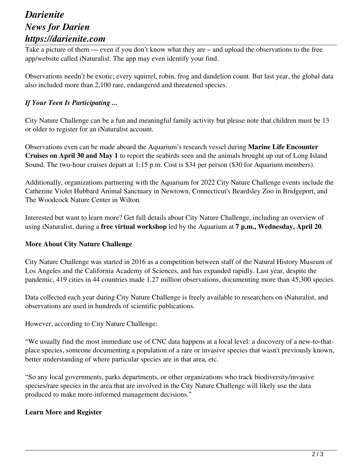### *Darienite News for Darien https://darienite.com*

Take a picture of them — even if you don't know what they are – and upload the observations to the free app/website called iNaturalist. The app may even identify your find.

Observations needn't be exotic; every squirrel, robin, frog and dandelion count. But last year, the global data also included more than 2,100 rare, endangered and threatened species.

#### *If Your Teen Is Participating ...*

City Nature Challenge can be a fun and meaningful family activity but please note that children must be 13 or older to register for an iNaturalist account.

Observations even can be made aboard the Aquarium's research vessel during **Marine Life Encounter Cruises on April 30 and May 1** to report the seabirds seen and the animals brought up out of Long Island Sound. The two-hour cruises depart at 1:15 p.m. Cost is \$34 per person (\$30 for Aquarium members).

Additionally, organizations partnering with the Aquarium for 2022 City Nature Challenge events include the Catherine Violet Hubbard Animal Sanctuary in Newtown, Connecticut's Beardsley Zoo in Bridgeport, and The Woodcock Nature Center in Wilton.

Interested but want to learn more? Get full details about City Nature Challenge, including an overview of using iNaturalist, during a **free virtual workshop** led by the Aquarium at **7 p.m., Wednesday, April 20**.

#### **More About City Nature Challenge**

City Nature Challenge was started in 2016 as a competition between staff of the Natural History Museum of Los Angeles and the California Academy of Sciences, and has expanded rapidly. Last year, despite the pandemic, 419 cities in 44 countries made 1.27 million observations, documenting more than 45,300 species.

Data collected each year during City Nature Challenge is freely available to researchers on iNaturalist, and observations are used in hundreds of scientific publications.

However, according to City Nature Challenge:

"We usually find the most immediate use of CNC data happens at a local level: a discovery of a new-to-thatplace species, someone documenting a population of a rare or invasive species that wasn't previously known, better understanding of where particular species are in that area, etc.

"So any local governments, parks departments, or other organizations who track biodiversity/invasive species/rare species in the area that are involved in the City Nature Challenge will likely use the data produced to make more-informed management decisions."

#### **Learn More and Register**